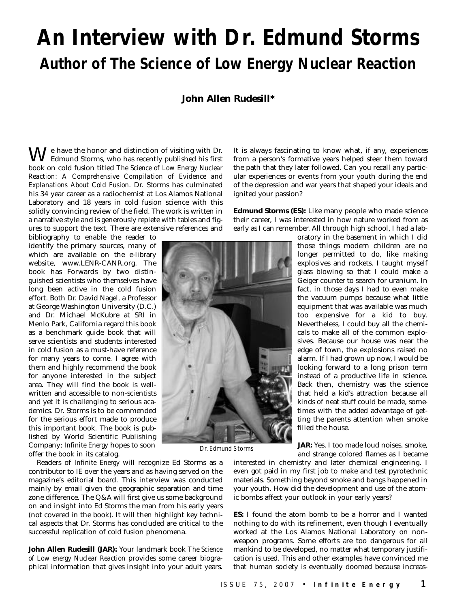## **An Interview with Dr. Edmund Storms Author of** *The Science of Low Energy Nuclear Reaction*

## **John Allen Rudesill\***

**W** e have the honor and distinction of visiting with Dr.<br>Edmund Storms, who has recently published his first book on cold fusion titled *The Science of Low Energy Nuclear Reaction: A Comprehensive Compilation of Evidence and Explanations About Cold Fusion*. Dr. Storms has culminated his 34 year career as a radiochemist at Los Alamos National Laboratory and 18 years in cold fusion science with this solidly convincing review of the field. The work is written in a narrative style and is generously replete with tables and figures to support the text. There are extensive references and

bibliography to enable the reader to identify the primary sources, many of which are available on the e-library website, www.LENR-CANR.org. The book has Forwards by two distinguished scientists who themselves have long been active in the cold fusion effort. Both Dr. David Nagel, a Professor at George Washington University (D.C.) and Dr. Michael McKubre at SRI in Menlo Park, California regard this book as a benchmark guide book that will serve scientists and students interested in cold fusion as a must-have reference for many years to come. I agree with them and highly recommend the book for anyone interested in the subject area. They will find the book is wellwritten and accessible to non-scientists and yet it is challenging to serious academics. Dr. Storms is to be commended for the serious effort made to produce this important book. The book is published by World Scientific Publishing Company; *Infinite Energy* hopes to soon offer the book in its catalog.

Readers of *Infinite Energy* will recognize Ed Storms as a contributor to *IE* over the years and as having served on the magazine's editorial board. This interview was conducted mainly by email given the geographic separation and time zone difference. The Q&A will first give us some background on and insight into Ed Storms the man from his early years (not covered in the book). It will then highlight key technical aspects that Dr. Storms has concluded are critical to the successful replication of cold fusion phenomena.

**John Allen Rudesill (JAR):** Your landmark book *The Science of Low energy Nuclear Reaction* provides some career biographical information that gives insight into your adult years.

It is always fascinating to know what, if any, experiences from a person's formative years helped steer them toward the path that they later followed. Can you recall any particular experiences or events from your youth during the end of the depression and war years that shaped your ideals and ignited your passion?

**Edmund Storms (ES):** Like many people who made science their career, I was interested in how nature worked from as early as I can remember. All through high school, I had a lab-



Dr. Edmund Storms

oratory in the basement in which I did those things modern children are no longer permitted to do, like making explosives and rockets. I taught myself glass blowing so that I could make a Geiger counter to search for uranium. In fact, in those days I had to even make the vacuum pumps because what little equipment that was available was much too expensive for a kid to buy. Nevertheless, I could buy all the chemicals to make all of the common explosives. Because our house was near the edge of town, the explosions raised no alarm. If I had grown up now, I would be looking forward to a long prison term instead of a productive life in science. Back then, chemistry was the science that held a kid's attraction because all kinds of neat stuff could be made, sometimes with the added advantage of getting the parents attention when smoke filled the house.

**JAR:** Yes, I too made loud noises, smoke, and strange colored flames as I became

interested in chemistry and later chemical engineering. I even got paid in my first job to make and test pyrotechnic materials. Something beyond smoke and bangs happened in your youth. How did the development and use of the atomic bombs affect your outlook in your early years?

**ES:** I found the atom bomb to be a horror and I wanted nothing to do with its refinement, even though I eventually worked at the Los Alamos National Laboratory on nonweapon programs. Some efforts are too dangerous for all mankind to be developed, no matter what temporary justification is used. This and other examples have convinced me that human society is eventually doomed because increas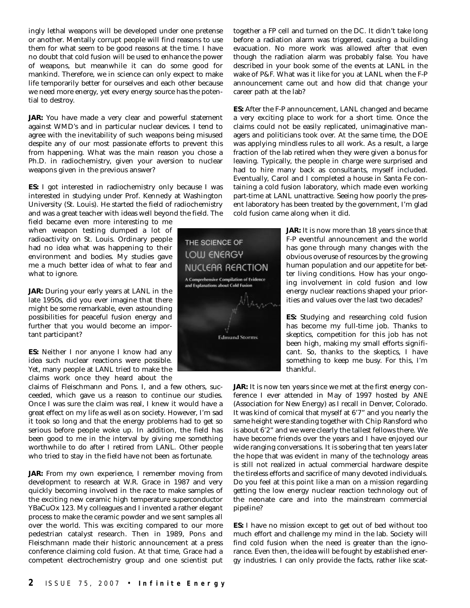ingly lethal weapons will be developed under one pretense or another. Mentally corrupt people will find reasons to use them for what seem to be good reasons at the time. I have no doubt that cold fusion will be used to enhance the power of weapons, but meanwhile it can do some good for mankind. Therefore, we in science can only expect to make life temporarily better for ourselves and each other because we need more energy, yet every energy source has the potential to destroy.

**JAR:** You have made a very clear and powerful statement against WMD's and in particular nuclear devices. I tend to agree with the inevitability of such weapons being misused despite any of our most passionate efforts to prevent this from happening. What was the main reason you chose a Ph.D. in radiochemistry, given your aversion to nuclear weapons given in the previous answer?

**ES:** I got interested in radiochemistry only because I was interested in studying under Prof. Kennedy at Washington University (St. Louis). He started the field of radiochemistry and was a great teacher with ideas well beyond the field. The

field became even more interesting to me when weapon testing dumped a lot of radioactivity on St. Louis. Ordinary people had no idea what was happening to their environment and bodies. My studies gave me a much better idea of what to fear and what to ignore.

**JAR:** During your early years at LANL in the late 1950s, did you ever imagine that there might be some remarkable, even astounding possibilities for peaceful fusion energy and further that you would become an important participant?

**ES:** Neither I nor anyone I know had any idea such nuclear reactions were possible. Yet, many people at LANL tried to make the claims work once they heard about the

claims of Fleischmann and Pons. I, and a few others, succeeded, which gave us a reason to continue our studies. Once I was sure the claim was real, I knew it would have a great effect on my life as well as on society. However, I'm sad it took so long and that the energy problems had to get so serious before people woke up. In addition, the field has been good to me in the interval by giving me something worthwhile to do after I retired from LANL. Other people who tried to stay in the field have not been as fortunate.

**JAR:** From my own experience, I remember moving from development to research at W.R. Grace in 1987 and very quickly becoming involved in the race to make samples of the exciting new ceramic high temperature superconductor YBaCuOx 123. My colleagues and I invented a rather elegant process to make the ceramic powder and we sent samples all over the world. This was exciting compared to our more pedestrian catalyst research. Then in 1989, Pons and Fleischmann made their historic announcement at a press conference claiming cold fusion. At that time, Grace had a competent electrochemistry group and one scientist put together a FP cell and turned on the DC. It didn't take long before a radiation alarm was triggered, causing a building evacuation. No more work was allowed after that even though the radiation alarm was probably false. You have described in your book some of the events at LANL in the wake of P&F. What was it like for you at LANL when the F-P announcement came out and how did that change your career path at the lab?

**ES:** After the F-P announcement, LANL changed and became a very exciting place to work for a short time. Once the claims could not be easily replicated, unimaginative managers and politicians took over. At the same time, the DOE was applying mindless rules to all work. As a result, a large fraction of the lab retired when they were given a bonus for leaving. Typically, the people in charge were surprised and had to hire many back as consultants, myself included. Eventually, Carol and I completed a house in Santa Fe containing a cold fusion laboratory, which made even working part-time at LANL unattractive. Seeing how poorly the present laboratory has been treated by the government, I'm glad cold fusion came along when it did.

> **JAR:** It is now more than 18 years since that F-P eventful announcement and the world has gone through many changes with the obvious overuse of resources by the growing human population and our appetite for better living conditions. How has your ongoing involvement in cold fusion and low energy nuclear reactions shaped your priorities and values over the last two decades?

> **ES:** Studying and researching cold fusion has become my full-time job. Thanks to skeptics, competition for this job has not been high, making my small efforts significant. So, thanks to the skeptics, I have something to keep me busy. For this, I'm thankful.

**JAR:** It is now ten years since we met at the first energy conference I ever attended in May of 1997 hosted by ANE (Association for New Energy) as I recall in Denver, Colorado. It was kind of comical that myself at 6'7" and you nearly the same height were standing together with Chip Ransford who is about 6'2" and we were clearly the tallest fellows there. We have become friends over the years and I have enjoyed our wide ranging conversations. It is sobering that ten years later the hope that was evident in many of the technology areas is still not realized in actual commercial hardware despite the tireless efforts and sacrifice of many devoted individuals. Do you feel at this point like a man on a mission regarding getting the low energy nuclear reaction technology out of the neonate care and into the mainstream commercial pipeline?

**ES:** I have no mission except to get out of bed without too much effort and challenge my mind in the lab. Society will find cold fusion when the need is greater than the ignorance. Even then, the idea will be fought by established energy industries. I can only provide the facts, rather like scat-

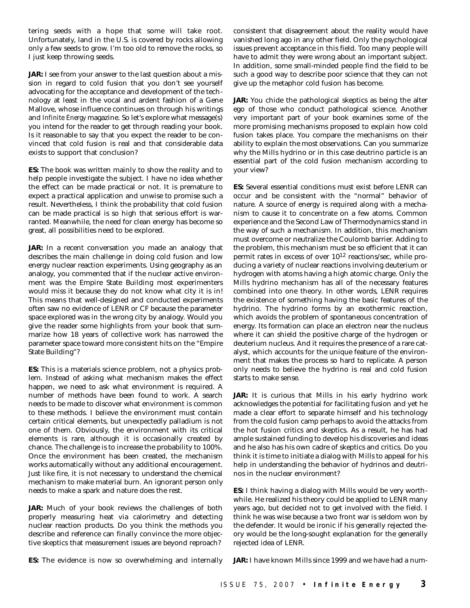tering seeds with a hope that some will take root. Unfortunately, land in the U.S. is covered by rocks allowing only a few seeds to grow. I'm too old to remove the rocks, so I just keep throwing seeds.

**JAR:** I see from your answer to the last question about a mission in regard to cold fusion that you don't see yourself advocating for the acceptance and development of the technology at least in the vocal and ardent fashion of a Gene Mallove, whose influence continues on through his writings and *Infinite Energy* magazine. So let's explore what message(s) you intend for the reader to get through reading your book. Is it reasonable to say that you expect the reader to be convinced that cold fusion is real and that considerable data exists to support that conclusion?

**ES:** The book was written mainly to show the reality and to help people investigate the subject. I have no idea whether the effect can be made practical or not. It is premature to expect a practical application and unwise to promise such a result. Nevertheless, I think the probability that cold fusion can be made practical is so high that serious effort is warranted. Meanwhile, the need for clean energy has become so great, all possibilities need to be explored.

**JAR:** In a recent conversation you made an analogy that describes the main challenge in doing cold fusion and low energy nuclear reaction experiments. Using geography as an analogy, you commented that if the nuclear active environment was the Empire State Building most experimenters would miss it because they do not know what city it is in! This means that well-designed and conducted experiments often saw no evidence of LENR or CF because the parameter space explored was in the wrong city by analogy. Would you give the reader some highlights from your book that summarize how 18 years of collective work has narrowed the parameter space toward more consistent hits on the "Empire State Building"?

**ES:** This is a materials science problem, not a physics problem. Instead of asking what mechanism makes the effect happen, we need to ask what environment is required. A number of methods have been found to work. A search needs to be made to discover what environment is common to these methods. I believe the environment must contain certain critical elements, but unexpectedly palladium is not one of them. Obviously, the environment with its critical elements is rare, although it is occasionally created by chance. The challenge is to increase the probability to 100%. Once the environment has been created, the mechanism works automatically without any additional encouragement. Just like fire, it is not necessary to understand the chemical mechanism to make material burn. An ignorant person only needs to make a spark and nature does the rest.

**JAR:** Much of your book reviews the challenges of both properly measuring heat via calorimetry and detecting nuclear reaction products. Do you think the methods you describe and reference can finally convince the more objective skeptics that measurement issues are beyond reproach?

consistent that disagreement about the reality would have vanished long ago in any other field. Only the psychological issues prevent acceptance in this field. Too many people will have to admit they were wrong about an important subject. In addition, some small-minded people find the field to be such a good way to describe poor science that they can not give up the metaphor cold fusion has become.

**JAR:** You chide the pathological skeptics as being the alter ego of those who conduct pathological science. Another very important part of your book examines some of the more promising mechanisms proposed to explain how cold fusion takes place. You compare the mechanisms on their ability to explain the most observations. Can you summarize why the Mills hydrino or in this case deutrino particle is an essential part of the cold fusion mechanism according to your view?

**ES:** Several essential conditions must exist before LENR can occur and be consistent with the "normal" behavior of nature. A source of energy is required along with a mechanism to cause it to concentrate on a few atoms. Common experience and the Second Law of Thermodynamics stand in the way of such a mechanism. In addition, this mechanism must overcome or neutralize the Coulomb barrier. Adding to the problem, this mechanism must be so efficient that it can permit rates in excess of over 1012 reactions/sec, while producing a variety of nuclear reactions involving deuterium or hydrogen with atoms having a high atomic charge. Only the Mills hydrino mechanism has all of the necessary features combined into one theory. In other words, LENR requires the existence of something having the basic features of the hydrino. The hydrino forms by an exothermic reaction, which avoids the problem of spontaneous concentration of energy. Its formation can place an electron near the nucleus where it can shield the positive charge of the hydrogen or deuterium nucleus. And it requires the presence of a rare catalyst, which accounts for the unique feature of the environment that makes the process so hard to replicate. A person only needs to believe the hydrino is real and cold fusion starts to make sense.

**JAR:** It is curious that Mills in his early hydrino work acknowledges the potential for facilitating fusion and yet he made a clear effort to separate himself and his technology from the cold fusion camp perhaps to avoid the attacks from the hot fusion critics and skeptics. As a result, he has had ample sustained funding to develop his discoveries and ideas and he also has his own cadre of skeptics and critics. Do you think it is time to initiate a dialog with Mills to appeal for his help in understanding the behavior of hydrinos and deutrinos in the nuclear environment?

**ES:** I think having a dialog with Mills would be very worthwhile. He realized his theory could be applied to LENR many years ago, but decided not to get involved with the field. I think he was wise because a two front war is seldom won by the defender. It would be ironic if his generally rejected theory would be the long-sought explanation for the generally rejected idea of LENR.

**ES:** The evidence is now so overwhelming and internally

**JAR:** I have known Mills since 1999 and we have had a num-